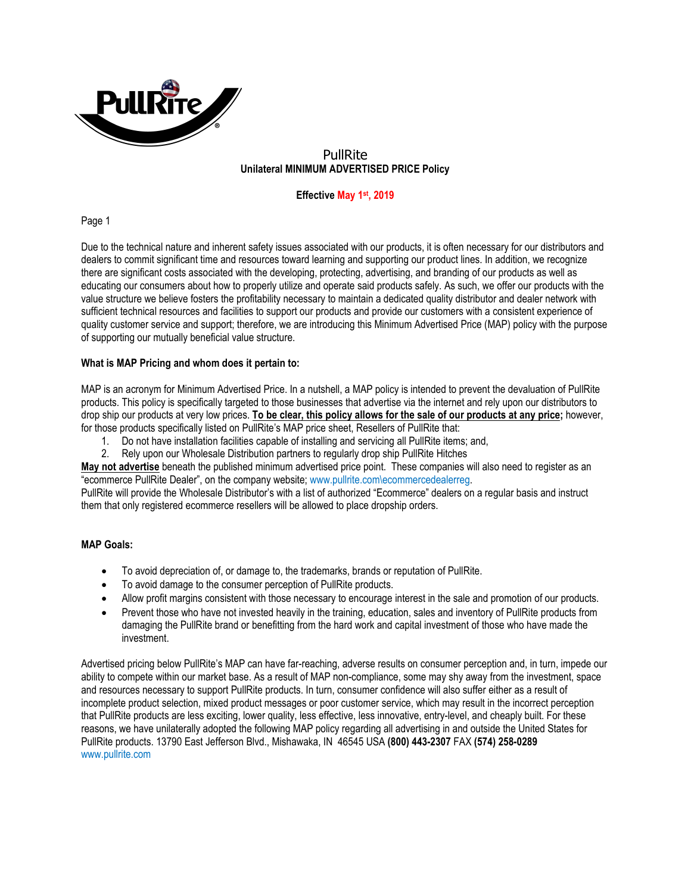

# PullRite **Unilateral MINIMUM ADVERTISED PRICE Policy**

## **Effective May 1st, 2019**

Page 1

Due to the technical nature and inherent safety issues associated with our products, it is often necessary for our distributors and dealers to commit significant time and resources toward learning and supporting our product lines. In addition, we recognize there are significant costs associated with the developing, protecting, advertising, and branding of our products as well as educating our consumers about how to properly utilize and operate said products safely. As such, we offer our products with the value structure we believe fosters the profitability necessary to maintain a dedicated quality distributor and dealer network with sufficient technical resources and facilities to support our products and provide our customers with a consistent experience of quality customer service and support; therefore, we are introducing this Minimum Advertised Price (MAP) policy with the purpose of supporting our mutually beneficial value structure.

#### **What is MAP Pricing and whom does it pertain to:**

MAP is an acronym for Minimum Advertised Price. In a nutshell, a MAP policy is intended to prevent the devaluation of PullRite products. This policy is specifically targeted to those businesses that advertise via the internet and rely upon our distributors to drop ship our products at very low prices. **To be clear, this policy allows for the sale of our products at any price;** however, for those products specifically listed on PullRite's MAP price sheet, Resellers of PullRite that:

- 1. Do not have installation facilities capable of installing and servicing all PullRite items; and,
- 2. Rely upon our Wholesale Distribution partners to regularly drop ship PullRite Hitches

**May not advertise** beneath the published minimum advertised price point. These companies will also need to register as an "ecommerce PullRite Dealer", on the company website; www.pullrite.com\ecommercedealerreg.

PullRite will provide the Wholesale Distributor's with a list of authorized "Ecommerce" dealers on a regular basis and instruct them that only registered ecommerce resellers will be allowed to place dropship orders.

#### **MAP Goals:**

- To avoid depreciation of, or damage to, the trademarks, brands or reputation of PullRite.
- To avoid damage to the consumer perception of PullRite products.
- Allow profit margins consistent with those necessary to encourage interest in the sale and promotion of our products.
- Prevent those who have not invested heavily in the training, education, sales and inventory of PullRite products from damaging the PullRite brand or benefitting from the hard work and capital investment of those who have made the investment.

Advertised pricing below PullRite's MAP can have far-reaching, adverse results on consumer perception and, in turn, impede our ability to compete within our market base. As a result of MAP non-compliance, some may shy away from the investment, space and resources necessary to support PullRite products. In turn, consumer confidence will also suffer either as a result of incomplete product selection, mixed product messages or poor customer service, which may result in the incorrect perception that PullRite products are less exciting, lower quality, less effective, less innovative, entry-level, and cheaply built. For these reasons, we have unilaterally adopted the following MAP policy regarding all advertising in and outside the United States for PullRite products. 13790 East Jefferson Blvd., Mishawaka, IN 46545 USA **(800) 443-2307** FAX **(574) 258-0289** www.pullrite.com